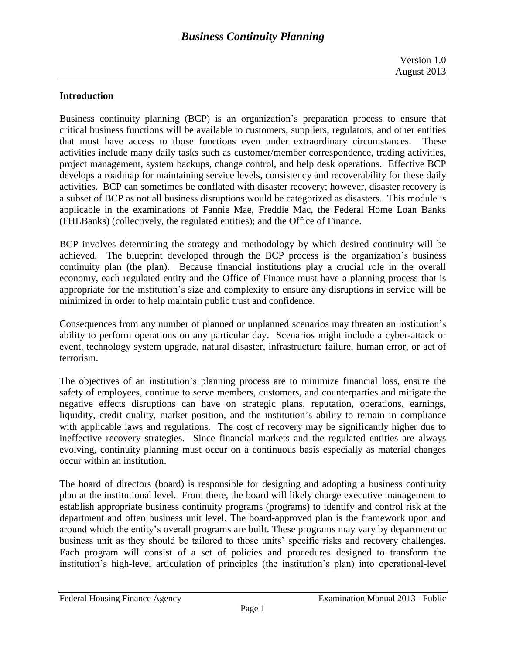## **Introduction**

Business continuity planning (BCP) is an organization's preparation process to ensure that critical business functions will be available to customers, suppliers, regulators, and other entities that must have access to those functions even under extraordinary circumstances. These activities include many daily tasks such as customer/member correspondence, trading activities, project management, system backups, change control, and help desk operations. Effective BCP develops a roadmap for maintaining service levels, consistency and recoverability for these daily activities. BCP can sometimes be conflated with disaster recovery; however, disaster recovery is a subset of BCP as not all business disruptions would be categorized as disasters. This module is applicable in the examinations of Fannie Mae, Freddie Mac, the Federal Home Loan Banks (FHLBanks) (collectively, the regulated entities); and the Office of Finance.

BCP involves determining the strategy and methodology by which desired continuity will be achieved. The blueprint developed through the BCP process is the organization's business continuity plan (the plan). Because financial institutions play a crucial role in the overall economy, each regulated entity and the Office of Finance must have a planning process that is appropriate for the institution's size and complexity to ensure any disruptions in service will be minimized in order to help maintain public trust and confidence.

Consequences from any number of planned or unplanned scenarios may threaten an institution's ability to perform operations on any particular day. Scenarios might include a cyber-attack or event, technology system upgrade, natural disaster, infrastructure failure, human error, or act of terrorism.

The objectives of an institution's planning process are to minimize financial loss, ensure the safety of employees, continue to serve members, customers, and counterparties and mitigate the negative effects disruptions can have on strategic plans, reputation, operations, earnings, liquidity, credit quality, market position, and the institution's ability to remain in compliance with applicable laws and regulations. The cost of recovery may be significantly higher due to ineffective recovery strategies. Since financial markets and the regulated entities are always evolving, continuity planning must occur on a continuous basis especially as material changes occur within an institution.

The board of directors (board) is responsible for designing and adopting a business continuity plan at the institutional level. From there, the board will likely charge executive management to establish appropriate business continuity programs (programs) to identify and control risk at the department and often business unit level. The board-approved plan is the framework upon and around which the entity's overall programs are built. These programs may vary by department or business unit as they should be tailored to those units' specific risks and recovery challenges. Each program will consist of a set of policies and procedures designed to transform the institution's high-level articulation of principles (the institution's plan) into operational-level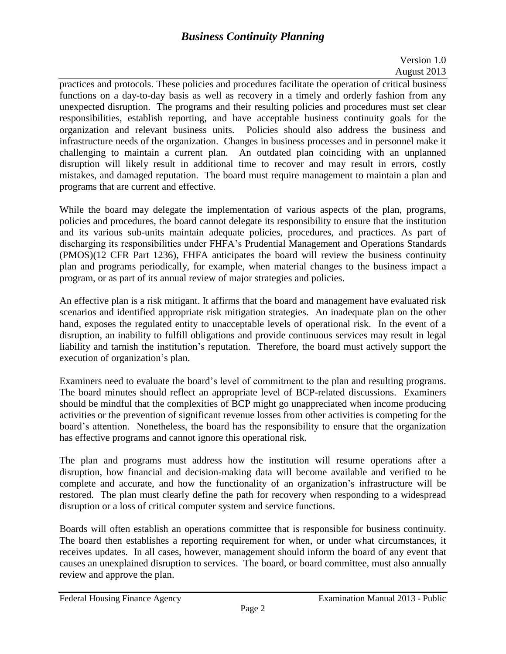# *Business Continuity Planning*

## Version 1.0 August 2013

practices and protocols. These policies and procedures facilitate the operation of critical business functions on a day-to-day basis as well as recovery in a timely and orderly fashion from any unexpected disruption. The programs and their resulting policies and procedures must set clear responsibilities, establish reporting, and have acceptable business continuity goals for the organization and relevant business units. Policies should also address the business and infrastructure needs of the organization. Changes in business processes and in personnel make it challenging to maintain a current plan. An outdated plan coinciding with an unplanned disruption will likely result in additional time to recover and may result in errors, costly mistakes, and damaged reputation. The board must require management to maintain a plan and programs that are current and effective.

While the board may delegate the implementation of various aspects of the plan, programs, policies and procedures, the board cannot delegate its responsibility to ensure that the institution and its various sub-units maintain adequate policies, procedures, and practices. As part of discharging its responsibilities under FHFA's Prudential Management and Operations Standards (PMOS)(12 CFR Part 1236), FHFA anticipates the board will review the business continuity plan and programs periodically, for example, when material changes to the business impact a program, or as part of its annual review of major strategies and policies.

An effective plan is a risk mitigant. It affirms that the board and management have evaluated risk scenarios and identified appropriate risk mitigation strategies. An inadequate plan on the other hand, exposes the regulated entity to unacceptable levels of operational risk. In the event of a disruption, an inability to fulfill obligations and provide continuous services may result in legal liability and tarnish the institution's reputation. Therefore, the board must actively support the execution of organization's plan.

Examiners need to evaluate the board's level of commitment to the plan and resulting programs. The board minutes should reflect an appropriate level of BCP-related discussions. Examiners should be mindful that the complexities of BCP might go unappreciated when income producing activities or the prevention of significant revenue losses from other activities is competing for the board's attention. Nonetheless, the board has the responsibility to ensure that the organization has effective programs and cannot ignore this operational risk.

The plan and programs must address how the institution will resume operations after a disruption, how financial and decision-making data will become available and verified to be complete and accurate, and how the functionality of an organization's infrastructure will be restored. The plan must clearly define the path for recovery when responding to a widespread disruption or a loss of critical computer system and service functions.

Boards will often establish an operations committee that is responsible for business continuity. The board then establishes a reporting requirement for when, or under what circumstances, it receives updates. In all cases, however, management should inform the board of any event that causes an unexplained disruption to services. The board, or board committee, must also annually review and approve the plan.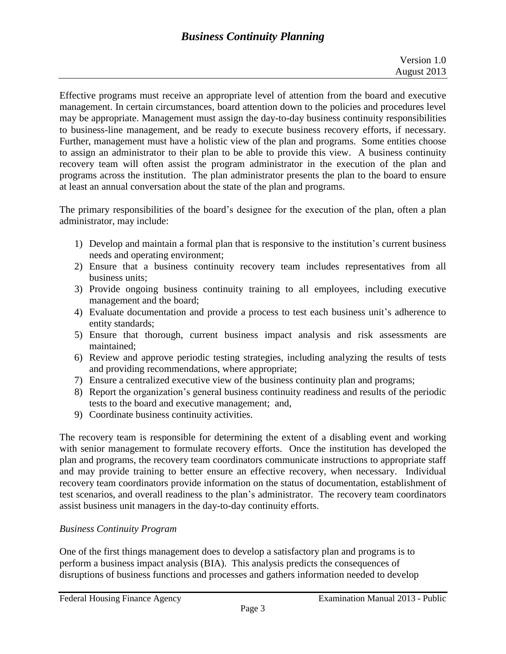Effective programs must receive an appropriate level of attention from the board and executive management. In certain circumstances, board attention down to the policies and procedures level may be appropriate. Management must assign the day-to-day business continuity responsibilities to business-line management, and be ready to execute business recovery efforts, if necessary. Further, management must have a holistic view of the plan and programs. Some entities choose to assign an administrator to their plan to be able to provide this view. A business continuity recovery team will often assist the program administrator in the execution of the plan and programs across the institution. The plan administrator presents the plan to the board to ensure at least an annual conversation about the state of the plan and programs.

The primary responsibilities of the board's designee for the execution of the plan, often a plan administrator, may include:

- 1) Develop and maintain a formal plan that is responsive to the institution's current business needs and operating environment;
- 2) Ensure that a business continuity recovery team includes representatives from all business units;
- 3) Provide ongoing business continuity training to all employees, including executive management and the board;
- 4) Evaluate documentation and provide a process to test each business unit's adherence to entity standards;
- 5) Ensure that thorough, current business impact analysis and risk assessments are maintained;
- 6) Review and approve periodic testing strategies, including analyzing the results of tests and providing recommendations, where appropriate;
- 7) Ensure a centralized executive view of the business continuity plan and programs;
- 8) Report the organization's general business continuity readiness and results of the periodic tests to the board and executive management; and,
- 9) Coordinate business continuity activities.

The recovery team is responsible for determining the extent of a disabling event and working with senior management to formulate recovery efforts. Once the institution has developed the plan and programs, the recovery team coordinators communicate instructions to appropriate staff and may provide training to better ensure an effective recovery, when necessary. Individual recovery team coordinators provide information on the status of documentation, establishment of test scenarios, and overall readiness to the plan's administrator. The recovery team coordinators assist business unit managers in the day-to-day continuity efforts.

# *Business Continuity Program*

One of the first things management does to develop a satisfactory plan and programs is to perform a business impact analysis (BIA). This analysis predicts the consequences of disruptions of business functions and processes and gathers information needed to develop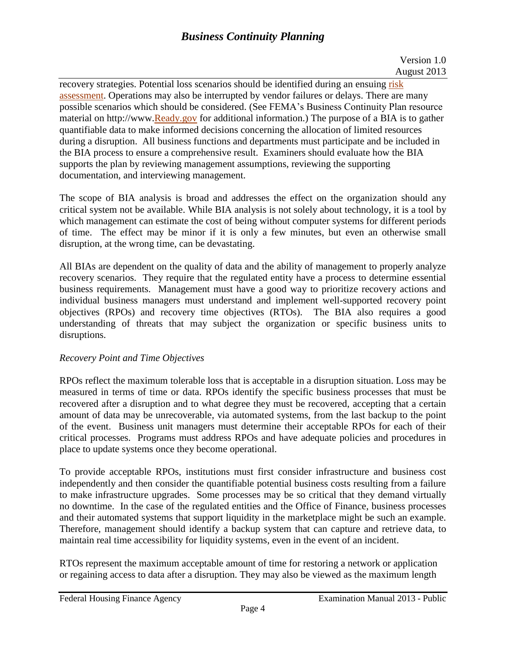recovery strategies. Potential loss scenarios should be identified during an ensuing risk [assessment.](http://www.ready.gov/risk-assessment) Operations may also be interrupted by vendor failures or delays. There are many possible scenarios which should be considered. (See FEMA's Business Continuity Plan resource material on http://www[.Ready.gov](http://www.ready.gov/business-impact-analysis) for additional information.) The purpose of a BIA is to gather quantifiable data to make informed decisions concerning the allocation of limited resources during a disruption. All business functions and departments must participate and be included in the BIA process to ensure a comprehensive result. Examiners should evaluate how the BIA supports the plan by reviewing management assumptions, reviewing the supporting documentation, and interviewing management.

The scope of BIA analysis is broad and addresses the effect on the organization should any critical system not be available. While BIA analysis is not solely about technology, it is a tool by which management can estimate the cost of being without computer systems for different periods of time. The effect may be minor if it is only a few minutes, but even an otherwise small disruption, at the wrong time, can be devastating.

All BIAs are dependent on the quality of data and the ability of management to properly analyze recovery scenarios. They require that the regulated entity have a process to determine essential business requirements. Management must have a good way to prioritize recovery actions and individual business managers must understand and implement well-supported recovery point objectives (RPOs) and recovery time objectives (RTOs). The BIA also requires a good understanding of threats that may subject the organization or specific business units to disruptions.

# *Recovery Point and Time Objectives*

RPOs reflect the maximum tolerable loss that is acceptable in a disruption situation. Loss may be measured in terms of time or data. RPOs identify the specific business processes that must be recovered after a disruption and to what degree they must be recovered, accepting that a certain amount of data may be unrecoverable, via automated systems, from the last backup to the point of the event. Business unit managers must determine their acceptable RPOs for each of their critical processes. Programs must address RPOs and have adequate policies and procedures in place to update systems once they become operational.

To provide acceptable RPOs, institutions must first consider infrastructure and business cost independently and then consider the quantifiable potential business costs resulting from a failure to make infrastructure upgrades. Some processes may be so critical that they demand virtually no downtime. In the case of the regulated entities and the Office of Finance, business processes and their automated systems that support liquidity in the marketplace might be such an example. Therefore, management should identify a backup system that can capture and retrieve data, to maintain real time accessibility for liquidity systems, even in the event of an incident.

RTOs represent the maximum acceptable amount of time for restoring a network or application or regaining access to data after a disruption. They may also be viewed as the maximum length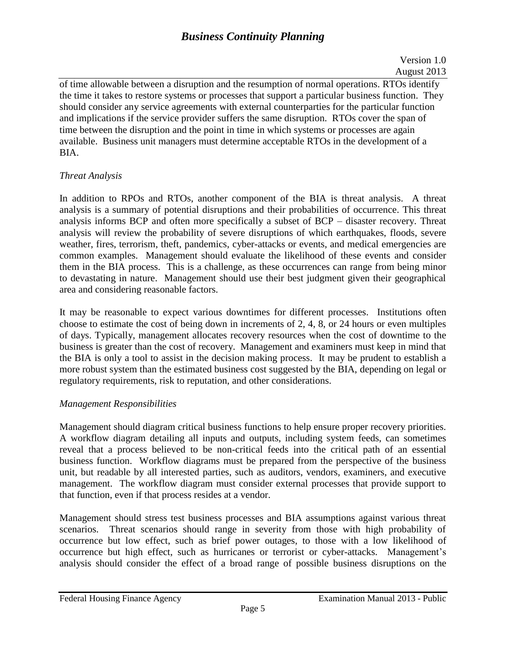# *Business Continuity Planning*

of time allowable between a disruption and the resumption of normal operations. RTOs identify the time it takes to restore systems or processes that support a particular business function. They should consider any service agreements with external counterparties for the particular function and implications if the service provider suffers the same disruption. RTOs cover the span of time between the disruption and the point in time in which systems or processes are again available. Business unit managers must determine acceptable RTOs in the development of a BIA.

## *Threat Analysis*

In addition to RPOs and RTOs, another component of the BIA is threat analysis. A threat analysis is a summary of potential disruptions and their probabilities of occurrence. This threat analysis informs BCP and often more specifically a subset of BCP – disaster recovery. Threat analysis will review the probability of severe disruptions of which earthquakes, floods, severe weather, fires, terrorism, theft, pandemics, cyber-attacks or events, and medical emergencies are common examples. Management should evaluate the likelihood of these events and consider them in the BIA process. This is a challenge, as these occurrences can range from being minor to devastating in nature. Management should use their best judgment given their geographical area and considering reasonable factors.

It may be reasonable to expect various downtimes for different processes. Institutions often choose to estimate the cost of being down in increments of 2, 4, 8, or 24 hours or even multiples of days. Typically, management allocates recovery resources when the cost of downtime to the business is greater than the cost of recovery. Management and examiners must keep in mind that the BIA is only a tool to assist in the decision making process. It may be prudent to establish a more robust system than the estimated business cost suggested by the BIA, depending on legal or regulatory requirements, risk to reputation, and other considerations.

## *Management Responsibilities*

Management should diagram critical business functions to help ensure proper recovery priorities. A workflow diagram detailing all inputs and outputs, including system feeds, can sometimes reveal that a process believed to be non-critical feeds into the critical path of an essential business function. Workflow diagrams must be prepared from the perspective of the business unit, but readable by all interested parties, such as auditors, vendors, examiners, and executive management. The workflow diagram must consider external processes that provide support to that function, even if that process resides at a vendor.

Management should stress test business processes and BIA assumptions against various threat scenarios. Threat scenarios should range in severity from those with high probability of occurrence but low effect, such as brief power outages, to those with a low likelihood of occurrence but high effect, such as hurricanes or terrorist or cyber-attacks. Management's analysis should consider the effect of a broad range of possible business disruptions on the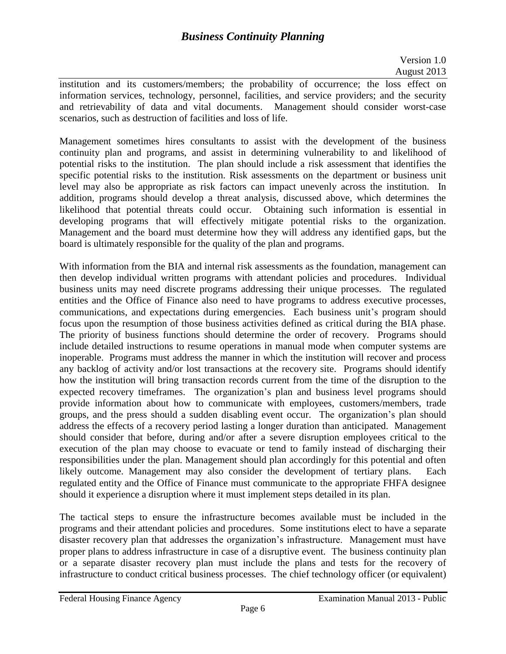institution and its customers/members; the probability of occurrence; the loss effect on information services, technology, personnel, facilities, and service providers; and the security and retrievability of data and vital documents. Management should consider worst-case scenarios, such as destruction of facilities and loss of life.

Management sometimes hires consultants to assist with the development of the business continuity plan and programs, and assist in determining vulnerability to and likelihood of potential risks to the institution. The plan should include a risk assessment that identifies the specific potential risks to the institution. Risk assessments on the department or business unit level may also be appropriate as risk factors can impact unevenly across the institution. In addition, programs should develop a threat analysis, discussed above, which determines the likelihood that potential threats could occur. Obtaining such information is essential in developing programs that will effectively mitigate potential risks to the organization. Management and the board must determine how they will address any identified gaps, but the board is ultimately responsible for the quality of the plan and programs.

With information from the BIA and internal risk assessments as the foundation, management can then develop individual written programs with attendant policies and procedures. Individual business units may need discrete programs addressing their unique processes. The regulated entities and the Office of Finance also need to have programs to address executive processes, communications, and expectations during emergencies. Each business unit's program should focus upon the resumption of those business activities defined as critical during the BIA phase. The priority of business functions should determine the order of recovery. Programs should include detailed instructions to resume operations in manual mode when computer systems are inoperable. Programs must address the manner in which the institution will recover and process any backlog of activity and/or lost transactions at the recovery site. Programs should identify how the institution will bring transaction records current from the time of the disruption to the expected recovery timeframes. The organization's plan and business level programs should provide information about how to communicate with employees, customers/members, trade groups, and the press should a sudden disabling event occur. The organization's plan should address the effects of a recovery period lasting a longer duration than anticipated. Management should consider that before, during and/or after a severe disruption employees critical to the execution of the plan may choose to evacuate or tend to family instead of discharging their responsibilities under the plan. Management should plan accordingly for this potential and often likely outcome. Management may also consider the development of tertiary plans. Each regulated entity and the Office of Finance must communicate to the appropriate FHFA designee should it experience a disruption where it must implement steps detailed in its plan.

The tactical steps to ensure the infrastructure becomes available must be included in the programs and their attendant policies and procedures. Some institutions elect to have a separate disaster recovery plan that addresses the organization's infrastructure. Management must have proper plans to address infrastructure in case of a disruptive event. The business continuity plan or a separate disaster recovery plan must include the plans and tests for the recovery of infrastructure to conduct critical business processes. The chief technology officer (or equivalent)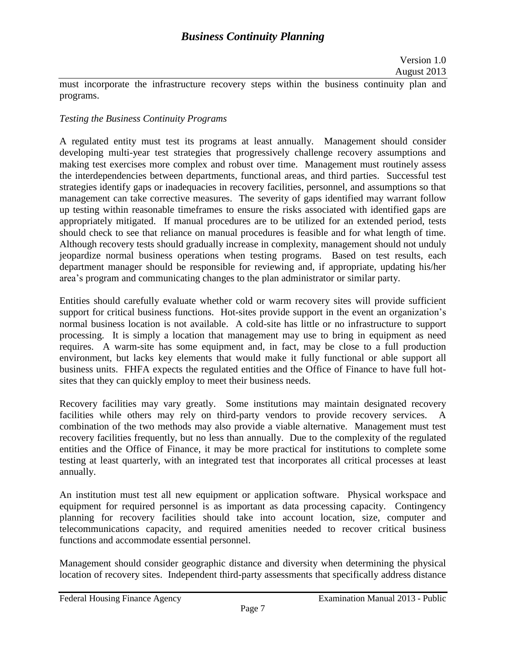must incorporate the infrastructure recovery steps within the business continuity plan and programs.

## *Testing the Business Continuity Programs*

A regulated entity must test its programs at least annually. Management should consider developing multi-year test strategies that progressively challenge recovery assumptions and making test exercises more complex and robust over time. Management must routinely assess the interdependencies between departments, functional areas, and third parties. Successful test strategies identify gaps or inadequacies in recovery facilities, personnel, and assumptions so that management can take corrective measures. The severity of gaps identified may warrant follow up testing within reasonable timeframes to ensure the risks associated with identified gaps are appropriately mitigated. If manual procedures are to be utilized for an extended period, tests should check to see that reliance on manual procedures is feasible and for what length of time. Although recovery tests should gradually increase in complexity, management should not unduly jeopardize normal business operations when testing programs. Based on test results, each department manager should be responsible for reviewing and, if appropriate, updating his/her area's program and communicating changes to the plan administrator or similar party.

Entities should carefully evaluate whether cold or warm recovery sites will provide sufficient support for critical business functions. Hot-sites provide support in the event an organization's normal business location is not available. A cold-site has little or no infrastructure to support processing. It is simply a location that management may use to bring in equipment as need requires. A warm-site has some equipment and, in fact, may be close to a full production environment, but lacks key elements that would make it fully functional or able support all business units. FHFA expects the regulated entities and the Office of Finance to have full hotsites that they can quickly employ to meet their business needs.

Recovery facilities may vary greatly. Some institutions may maintain designated recovery facilities while others may rely on third-party vendors to provide recovery services. A combination of the two methods may also provide a viable alternative. Management must test recovery facilities frequently, but no less than annually. Due to the complexity of the regulated entities and the Office of Finance, it may be more practical for institutions to complete some testing at least quarterly, with an integrated test that incorporates all critical processes at least annually.

An institution must test all new equipment or application software. Physical workspace and equipment for required personnel is as important as data processing capacity. Contingency planning for recovery facilities should take into account location, size, computer and telecommunications capacity, and required amenities needed to recover critical business functions and accommodate essential personnel.

Management should consider geographic distance and diversity when determining the physical location of recovery sites. Independent third-party assessments that specifically address distance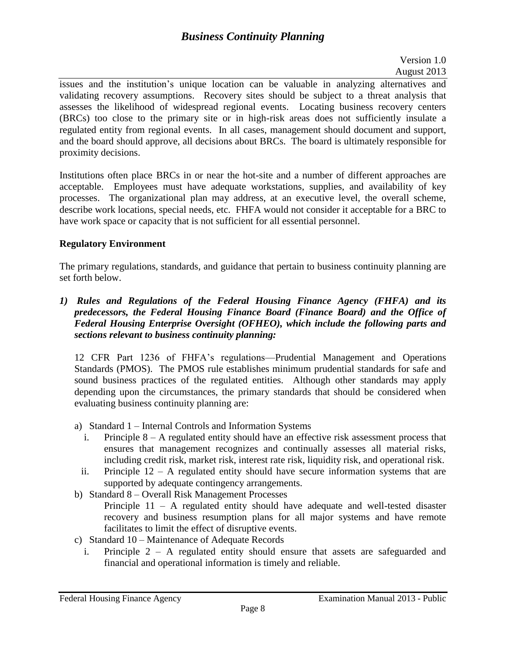issues and the institution's unique location can be valuable in analyzing alternatives and validating recovery assumptions. Recovery sites should be subject to a threat analysis that assesses the likelihood of widespread regional events. Locating business recovery centers (BRCs) too close to the primary site or in high-risk areas does not sufficiently insulate a regulated entity from regional events. In all cases, management should document and support, and the board should approve, all decisions about BRCs. The board is ultimately responsible for proximity decisions.

Institutions often place BRCs in or near the hot-site and a number of different approaches are acceptable. Employees must have adequate workstations, supplies, and availability of key processes. The organizational plan may address, at an executive level, the overall scheme, describe work locations, special needs, etc. FHFA would not consider it acceptable for a BRC to have work space or capacity that is not sufficient for all essential personnel.

# **Regulatory Environment**

The primary regulations, standards, and guidance that pertain to business continuity planning are set forth below.

*1) Rules and Regulations of the Federal Housing Finance Agency (FHFA) and its predecessors, the Federal Housing Finance Board (Finance Board) and the Office of Federal Housing Enterprise Oversight (OFHEO), which include the following parts and sections relevant to business continuity planning:* 

12 CFR Part 1236 of FHFA's regulations—Prudential Management and Operations Standards (PMOS). The PMOS rule establishes minimum prudential standards for safe and sound business practices of the regulated entities. Although other standards may apply depending upon the circumstances, the primary standards that should be considered when evaluating business continuity planning are:

- a) Standard 1 Internal Controls and Information Systems
	- i. Principle 8 A regulated entity should have an effective risk assessment process that ensures that management recognizes and continually assesses all material risks, including credit risk, market risk, interest rate risk, liquidity risk, and operational risk.
- ii. Principle 12 A regulated entity should have secure information systems that are supported by adequate contingency arrangements.
- b) Standard 8 Overall Risk Management Processes Principle  $11 - A$  regulated entity should have adequate and well-tested disaster recovery and business resumption plans for all major systems and have remote facilitates to limit the effect of disruptive events.
- c) Standard 10 Maintenance of Adequate Records
	- i. Principle 2 A regulated entity should ensure that assets are safeguarded and financial and operational information is timely and reliable.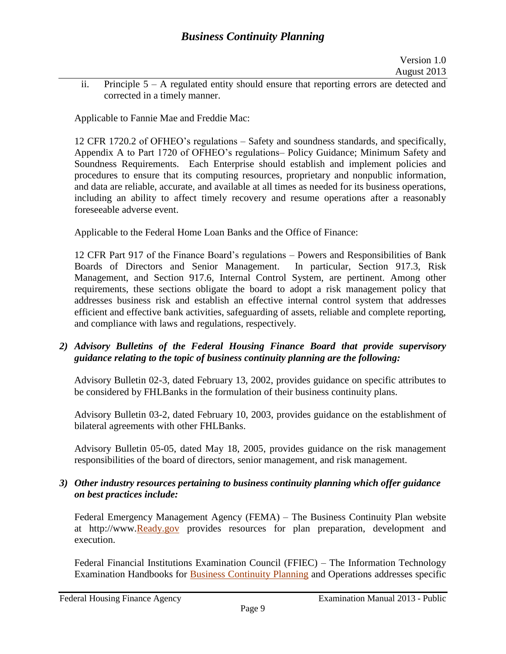ii. Principle  $5 - A$  regulated entity should ensure that reporting errors are detected and corrected in a timely manner.

Applicable to Fannie Mae and Freddie Mac:

12 CFR 1720.2 of OFHEO's regulations – Safety and soundness standards, and specifically, Appendix A to Part 1720 of OFHEO's regulations– Policy Guidance; Minimum Safety and Soundness Requirements. Each Enterprise should establish and implement policies and procedures to ensure that its computing resources, proprietary and nonpublic information, and data are reliable, accurate, and available at all times as needed for its business operations, including an ability to affect timely recovery and resume operations after a reasonably foreseeable adverse event.

Applicable to the Federal Home Loan Banks and the Office of Finance:

12 CFR Part 917 of the Finance Board's regulations – Powers and Responsibilities of Bank Boards of Directors and Senior Management. In particular, Section 917.3, Risk Management, and Section 917.6, Internal Control System, are pertinent. Among other requirements, these sections obligate the board to adopt a risk management policy that addresses business risk and establish an effective internal control system that addresses efficient and effective bank activities, safeguarding of assets, reliable and complete reporting, and compliance with laws and regulations, respectively.

## *2) Advisory Bulletins of the Federal Housing Finance Board that provide supervisory guidance relating to the topic of business continuity planning are the following:*

Advisory Bulletin 02-3, dated February 13, 2002, provides guidance on specific attributes to be considered by FHLBanks in the formulation of their business continuity plans.

Advisory Bulletin 03-2, dated February 10, 2003, provides guidance on the establishment of bilateral agreements with other FHLBanks.

Advisory Bulletin 05-05, dated May 18, 2005, provides guidance on the risk management responsibilities of the board of directors, senior management, and risk management.

## *3) Other industry resources pertaining to business continuity planning which offer guidance on best practices include:*

Federal Emergency Management Agency (FEMA) – The Business Continuity Plan website at http://www[.Ready.gov](http://www.ready.gov/business/implementation/continuity) provides resources for plan preparation, development and execution.

Federal Financial Institutions Examination Council (FFIEC) – The Information Technology Examination Handbooks for [Business Continuity Planning](http://ithandbook.ffiec.gov/it-booklets/business-continuity-planning.aspx) and Operations addresses specific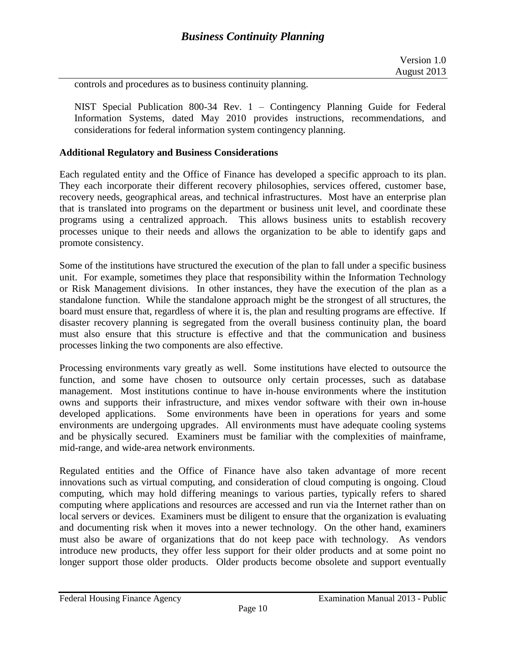controls and procedures as to business continuity planning.

NIST Special Publication 800-34 Rev. 1 – Contingency Planning Guide for Federal Information Systems, dated May 2010 provides instructions, recommendations, and considerations for federal information system contingency planning.

#### **Additional Regulatory and Business Considerations**

Each regulated entity and the Office of Finance has developed a specific approach to its plan. They each incorporate their different recovery philosophies, services offered, customer base, recovery needs, geographical areas, and technical infrastructures. Most have an enterprise plan that is translated into programs on the department or business unit level, and coordinate these programs using a centralized approach. This allows business units to establish recovery processes unique to their needs and allows the organization to be able to identify gaps and promote consistency.

Some of the institutions have structured the execution of the plan to fall under a specific business unit. For example, sometimes they place that responsibility within the Information Technology or Risk Management divisions. In other instances, they have the execution of the plan as a standalone function. While the standalone approach might be the strongest of all structures, the board must ensure that, regardless of where it is, the plan and resulting programs are effective. If disaster recovery planning is segregated from the overall business continuity plan, the board must also ensure that this structure is effective and that the communication and business processes linking the two components are also effective.

Processing environments vary greatly as well. Some institutions have elected to outsource the function, and some have chosen to outsource only certain processes, such as database management. Most institutions continue to have in-house environments where the institution owns and supports their infrastructure, and mixes vendor software with their own in-house developed applications. Some environments have been in operations for years and some environments are undergoing upgrades. All environments must have adequate cooling systems and be physically secured. Examiners must be familiar with the complexities of mainframe, mid-range, and wide-area network environments.

Regulated entities and the Office of Finance have also taken advantage of more recent innovations such as virtual computing, and consideration of cloud computing is ongoing. Cloud computing, which may hold differing meanings to various parties, typically refers to shared computing where applications and resources are accessed and run via the Internet rather than on local servers or devices. Examiners must be diligent to ensure that the organization is evaluating and documenting risk when it moves into a newer technology. On the other hand, examiners must also be aware of organizations that do not keep pace with technology. As vendors introduce new products, they offer less support for their older products and at some point no longer support those older products. Older products become obsolete and support eventually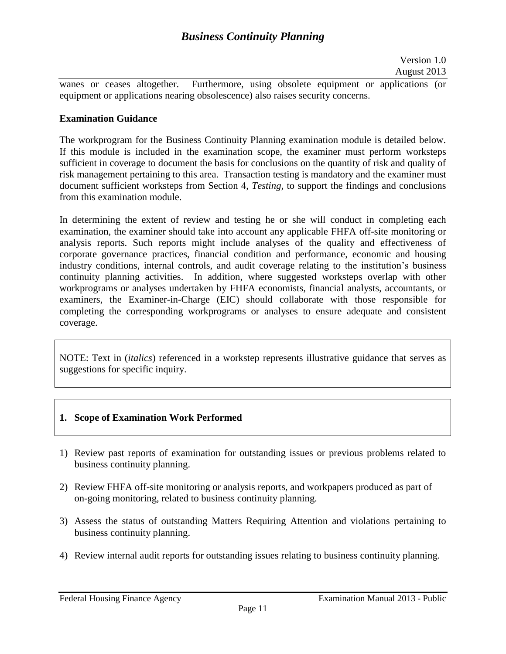wanes or ceases altogether. Furthermore, using obsolete equipment or applications (or equipment or applications nearing obsolescence) also raises security concerns.

### **Examination Guidance**

The workprogram for the Business Continuity Planning examination module is detailed below. If this module is included in the examination scope, the examiner must perform worksteps sufficient in coverage to document the basis for conclusions on the quantity of risk and quality of risk management pertaining to this area. Transaction testing is mandatory and the examiner must document sufficient worksteps from Section 4, *Testing,* to support the findings and conclusions from this examination module.

In determining the extent of review and testing he or she will conduct in completing each examination, the examiner should take into account any applicable FHFA off-site monitoring or analysis reports. Such reports might include analyses of the quality and effectiveness of corporate governance practices, financial condition and performance, economic and housing industry conditions, internal controls, and audit coverage relating to the institution's business continuity planning activities. In addition, where suggested worksteps overlap with other workprograms or analyses undertaken by FHFA economists, financial analysts, accountants, or examiners, the Examiner-in-Charge (EIC) should collaborate with those responsible for completing the corresponding workprograms or analyses to ensure adequate and consistent coverage.

NOTE: Text in (*italics*) referenced in a workstep represents illustrative guidance that serves as suggestions for specific inquiry.

#### **1. Scope of Examination Work Performed**

- 1) Review past reports of examination for outstanding issues or previous problems related to business continuity planning.
- 2) Review FHFA off-site monitoring or analysis reports, and workpapers produced as part of on-going monitoring, related to business continuity planning.
- 3) Assess the status of outstanding Matters Requiring Attention and violations pertaining to business continuity planning.
- 4) Review internal audit reports for outstanding issues relating to business continuity planning.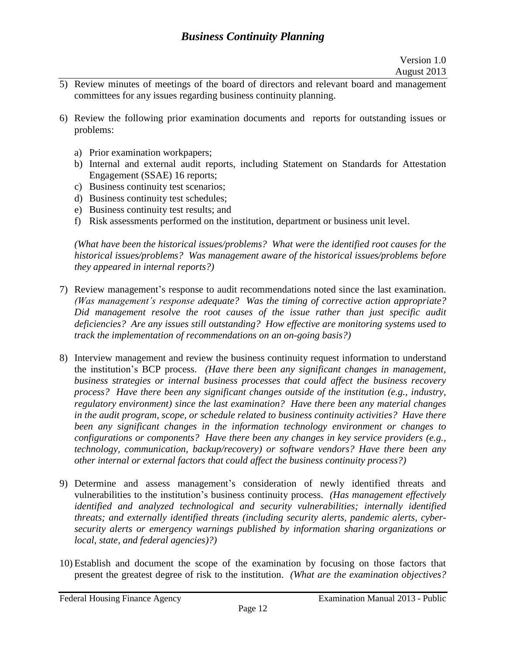- 5) Review minutes of meetings of the board of directors and relevant board and management committees for any issues regarding business continuity planning.
- 6) Review the following prior examination documents and reports for outstanding issues or problems:
	- a) Prior examination workpapers;
	- b) Internal and external audit reports, including Statement on Standards for Attestation Engagement (SSAE) 16 reports;
	- c) Business continuity test scenarios;
	- d) Business continuity test schedules;
	- e) Business continuity test results; and
	- f) Risk assessments performed on the institution, department or business unit level.

*(What have been the historical issues/problems? What were the identified root causes for the historical issues/problems? Was management aware of the historical issues/problems before they appeared in internal reports?)*

- 7) Review management's response to audit recommendations noted since the last examination. *(Was management's response adequate? Was the timing of corrective action appropriate? Did management resolve the root causes of the issue rather than just specific audit deficiencies? Are any issues still outstanding? How effective are monitoring systems used to track the implementation of recommendations on an on-going basis?)*
- 8) Interview management and review the business continuity request information to understand the institution's BCP process. *(Have there been any significant changes in management, business strategies or internal business processes that could affect the business recovery process? Have there been any significant changes outside of the institution (e.g., industry, regulatory environment) since the last examination? Have there been any material changes in the audit program, scope, or schedule related to business continuity activities? Have there been any significant changes in the information technology environment or changes to configurations or components? Have there been any changes in key service providers (e.g., technology, communication, backup/recovery) or software vendors? Have there been any other internal or external factors that could affect the business continuity process?)*
- 9) Determine and assess management's consideration of newly identified threats and vulnerabilities to the institution's business continuity process. *(Has management effectively identified and analyzed technological and security vulnerabilities; internally identified threats; and externally identified threats (including security alerts, pandemic alerts, cybersecurity alerts or emergency warnings published by information sharing organizations or local, state, and federal agencies)?)*
- 10) Establish and document the scope of the examination by focusing on those factors that present the greatest degree of risk to the institution. *(What are the examination objectives?*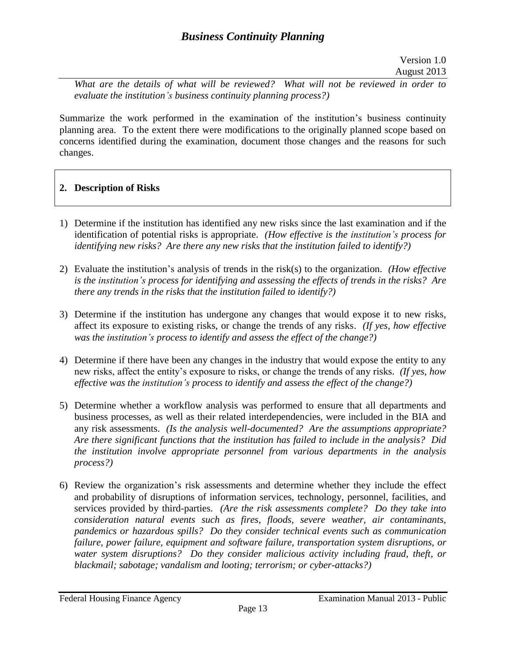*What are the details of what will be reviewed? What will not be reviewed in order to evaluate the institution's business continuity planning process?)*

Summarize the work performed in the examination of the institution's business continuity planning area. To the extent there were modifications to the originally planned scope based on concerns identified during the examination, document those changes and the reasons for such changes.

## **2. Description of Risks**

- 1) Determine if the institution has identified any new risks since the last examination and if the identification of potential risks is appropriate. *(How effective is the institution's process for identifying new risks? Are there any new risks that the institution failed to identify?)*
- 2) Evaluate the institution's analysis of trends in the risk(s) to the organization. *(How effective is the institution's process for identifying and assessing the effects of trends in the risks? Are there any trends in the risks that the institution failed to identify?)*
- 3) Determine if the institution has undergone any changes that would expose it to new risks, affect its exposure to existing risks, or change the trends of any risks. *(If yes, how effective was the institution's process to identify and assess the effect of the change?)*
- 4) Determine if there have been any changes in the industry that would expose the entity to any new risks, affect the entity's exposure to risks, or change the trends of any risks. *(If yes, how effective was the institution's process to identify and assess the effect of the change?)*
- 5) Determine whether a workflow analysis was performed to ensure that all departments and business processes, as well as their related interdependencies, were included in the BIA and any risk assessments. *(Is the analysis well-documented? Are the assumptions appropriate? Are there significant functions that the institution has failed to include in the analysis? Did the institution involve appropriate personnel from various departments in the analysis process?)*
- 6) Review the organization's risk assessments and determine whether they include the effect and probability of disruptions of information services, technology, personnel, facilities, and services provided by third-parties. *(Are the risk assessments complete? Do they take into consideration natural events such as fires, floods, severe weather, air contaminants, pandemics or hazardous spills? Do they consider technical events such as communication failure, power failure, equipment and software failure, transportation system disruptions, or water system disruptions? Do they consider malicious activity including fraud, theft, or blackmail; sabotage; vandalism and looting; terrorism; or cyber-attacks?)*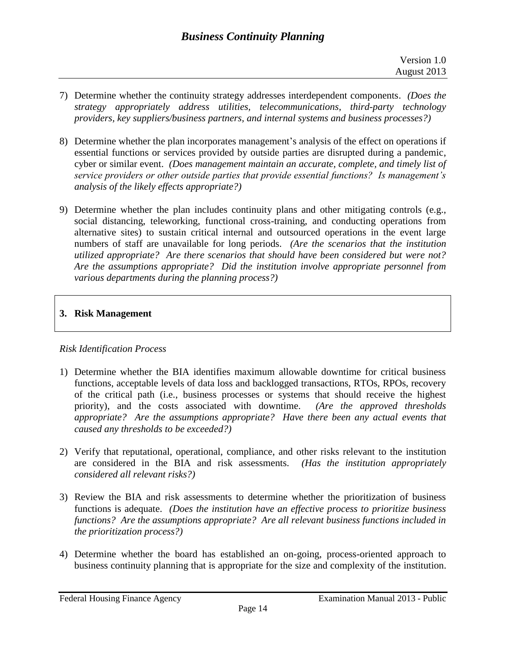- 7) Determine whether the continuity strategy addresses interdependent components. *(Does the strategy appropriately address utilities, telecommunications, third-party technology providers, key suppliers/business partners, and internal systems and business processes?)*
- 8) Determine whether the plan incorporates management's analysis of the effect on operations if essential functions or services provided by outside parties are disrupted during a pandemic, cyber or similar event. *(Does management maintain an accurate, complete, and timely list of service providers or other outside parties that provide essential functions? Is management's analysis of the likely effects appropriate?)*
- 9) Determine whether the plan includes continuity plans and other mitigating controls (e.g., social distancing, teleworking, functional cross-training, and conducting operations from alternative sites) to sustain critical internal and outsourced operations in the event large numbers of staff are unavailable for long periods. *(Are the scenarios that the institution utilized appropriate? Are there scenarios that should have been considered but were not? Are the assumptions appropriate? Did the institution involve appropriate personnel from various departments during the planning process?)*

# **3. Risk Management**

# *Risk Identification Process*

- 1) Determine whether the BIA identifies maximum allowable downtime for critical business functions, acceptable levels of data loss and backlogged transactions, RTOs, RPOs, recovery of the critical path (i.e., business processes or systems that should receive the highest priority), and the costs associated with downtime. *(Are the approved thresholds appropriate? Are the assumptions appropriate? Have there been any actual events that caused any thresholds to be exceeded?)*
- 2) Verify that reputational, operational, compliance, and other risks relevant to the institution are considered in the BIA and risk assessments. *(Has the institution appropriately considered all relevant risks?)*
- 3) Review the BIA and risk assessments to determine whether the prioritization of business functions is adequate. *(Does the institution have an effective process to prioritize business functions? Are the assumptions appropriate? Are all relevant business functions included in the prioritization process?)*
- 4) Determine whether the board has established an on-going, process-oriented approach to business continuity planning that is appropriate for the size and complexity of the institution.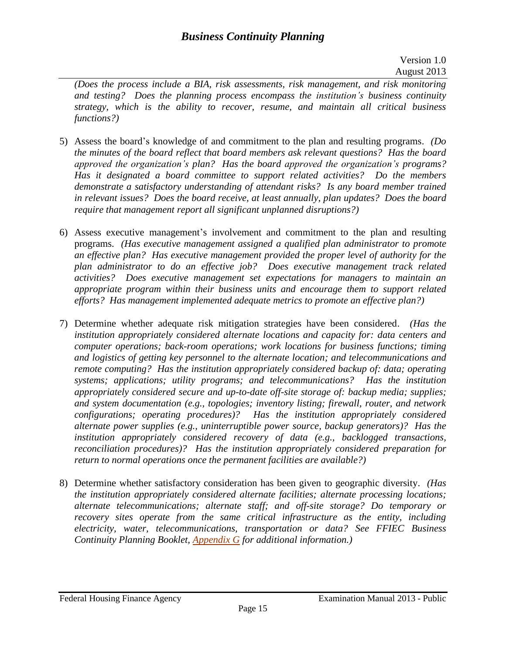*(Does the process include a BIA, risk assessments, risk management, and risk monitoring and testing? Does the planning process encompass the institution's business continuity strategy, which is the ability to recover, resume, and maintain all critical business functions?)*

- 5) Assess the board's knowledge of and commitment to the plan and resulting programs. *(Do the minutes of the board reflect that board members ask relevant questions? Has the board approved the organization's plan? Has the board approved the organization's programs? Has it designated a board committee to support related activities? Do the members demonstrate a satisfactory understanding of attendant risks? Is any board member trained in relevant issues? Does the board receive, at least annually, plan updates? Does the board require that management report all significant unplanned disruptions?)*
- 6) Assess executive management's involvement and commitment to the plan and resulting programs. *(Has executive management assigned a qualified plan administrator to promote an effective plan? Has executive management provided the proper level of authority for the plan administrator to do an effective job? Does executive management track related activities? Does executive management set expectations for managers to maintain an appropriate program within their business units and encourage them to support related efforts? Has management implemented adequate metrics to promote an effective plan?)*
- 7) Determine whether adequate risk mitigation strategies have been considered. *(Has the institution appropriately considered alternate locations and capacity for: data centers and computer operations; back-room operations; work locations for business functions; timing and logistics of getting key personnel to the alternate location; and telecommunications and remote computing? Has the institution appropriately considered backup of: data; operating systems; applications; utility programs; and telecommunications? Has the institution appropriately considered secure and up-to-date off-site storage of: backup media; supplies; and system documentation (e.g., topologies; inventory listing; firewall, router, and network configurations; operating procedures)? Has the institution appropriately considered alternate power supplies (e.g., uninterruptible power source, backup generators)? Has the institution appropriately considered recovery of data (e.g., backlogged transactions, reconciliation procedures)? Has the institution appropriately considered preparation for return to normal operations once the permanent facilities are available?)*
- 8) Determine whether satisfactory consideration has been given to geographic diversity. *(Has the institution appropriately considered alternate facilities; alternate processing locations; alternate telecommunications; alternate staff; and off-site storage? Do temporary or recovery sites operate from the same critical infrastructure as the entity, including electricity, water, telecommunications, transportation or data? See FFIEC Business Continuity Planning Booklet, [Appendix G](http://ithandbook.ffiec.gov/it-booklets/business-continuity-planning/appendix-g-business-continuity-plan-components.aspx) for additional information.)*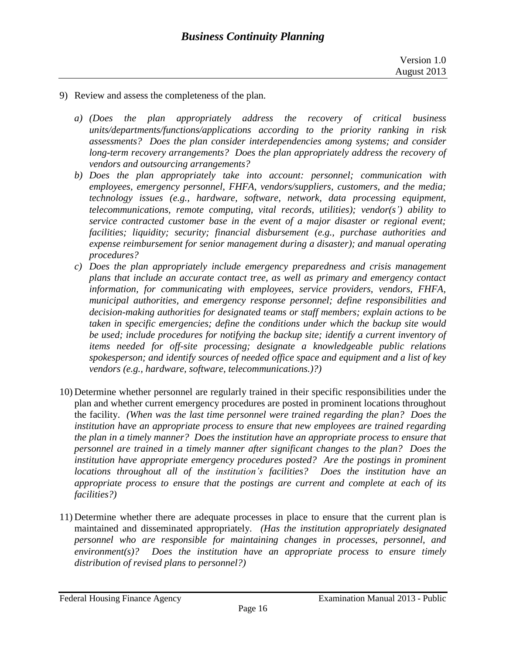- 9) Review and assess the completeness of the plan.
	- *a) (Does the plan appropriately address the recovery of critical business units/departments/functions/applications according to the priority ranking in risk assessments? Does the plan consider interdependencies among systems; and consider long-term recovery arrangements? Does the plan appropriately address the recovery of vendors and outsourcing arrangements?*
	- *b) Does the plan appropriately take into account: personnel; communication with employees, emergency personnel, FHFA, vendors/suppliers, customers, and the media; technology issues (e.g., hardware, software, network, data processing equipment, telecommunications, remote computing, vital records, utilities); vendor(s') ability to service contracted customer base in the event of a major disaster or regional event; facilities; liquidity; security; financial disbursement (e.g., purchase authorities and expense reimbursement for senior management during a disaster); and manual operating procedures?*
	- *c) Does the plan appropriately include emergency preparedness and crisis management plans that include an accurate contact tree, as well as primary and emergency contact information, for communicating with employees, service providers, vendors, FHFA, municipal authorities, and emergency response personnel; define responsibilities and decision-making authorities for designated teams or staff members; explain actions to be taken in specific emergencies; define the conditions under which the backup site would be used; include procedures for notifying the backup site; identify a current inventory of items needed for off-site processing; designate a knowledgeable public relations spokesperson; and identify sources of needed office space and equipment and a list of key vendors (e.g., hardware, software, telecommunications.)?)*
- 10) Determine whether personnel are regularly trained in their specific responsibilities under the plan and whether current emergency procedures are posted in prominent locations throughout the facility. *(When was the last time personnel were trained regarding the plan? Does the institution have an appropriate process to ensure that new employees are trained regarding the plan in a timely manner? Does the institution have an appropriate process to ensure that personnel are trained in a timely manner after significant changes to the plan? Does the* institution have appropriate emergency procedures posted? Are the postings in prominent *locations throughout all of the institution's facilities? Does the institution have an appropriate process to ensure that the postings are current and complete at each of its facilities?)*
- 11) Determine whether there are adequate processes in place to ensure that the current plan is maintained and disseminated appropriately. *(Has the institution appropriately designated personnel who are responsible for maintaining changes in processes, personnel, and environment(s)? Does the institution have an appropriate process to ensure timely distribution of revised plans to personnel?)*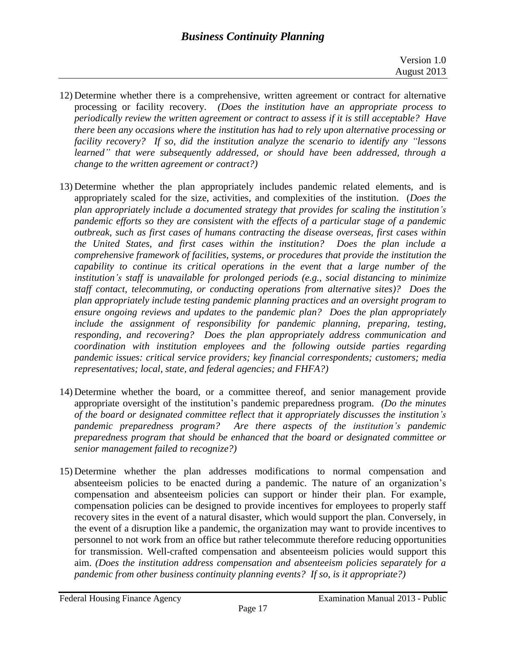- 12) Determine whether there is a comprehensive, written agreement or contract for alternative processing or facility recovery. *(Does the institution have an appropriate process to periodically review the written agreement or contract to assess if it is still acceptable? Have there been any occasions where the institution has had to rely upon alternative processing or facility recovery? If so, did the institution analyze the scenario to identify any "lessons learned" that were subsequently addressed, or should have been addressed, through a change to the written agreement or contract?)*
- 13) Determine whether the plan appropriately includes pandemic related elements, and is appropriately scaled for the size, activities, and complexities of the institution. (*Does the plan appropriately include a documented strategy that provides for scaling the institution's pandemic efforts so they are consistent with the effects of a particular stage of a pandemic outbreak, such as first cases of humans contracting the disease overseas, first cases within the United States, and first cases within the institution? Does the plan include a comprehensive framework of facilities, systems, or procedures that provide the institution the capability to continue its critical operations in the event that a large number of the institution's staff is unavailable for prolonged periods (e.g., social distancing to minimize staff contact, telecommuting, or conducting operations from alternative sites)? Does the plan appropriately include testing pandemic planning practices and an oversight program to ensure ongoing reviews and updates to the pandemic plan? Does the plan appropriately include the assignment of responsibility for pandemic planning, preparing, testing, responding, and recovering? Does the plan appropriately address communication and coordination with institution employees and the following outside parties regarding pandemic issues: critical service providers; key financial correspondents; customers; media representatives; local, state, and federal agencies; and FHFA?)*
- 14) Determine whether the board, or a committee thereof, and senior management provide appropriate oversight of the institution's pandemic preparedness program. *(Do the minutes of the board or designated committee reflect that it appropriately discusses the institution's pandemic preparedness program? Are there aspects of the institution's pandemic preparedness program that should be enhanced that the board or designated committee or senior management failed to recognize?)*
- 15) Determine whether the plan addresses modifications to normal compensation and absenteeism policies to be enacted during a pandemic. The nature of an organization's compensation and absenteeism policies can support or hinder their plan. For example, compensation policies can be designed to provide incentives for employees to properly staff recovery sites in the event of a natural disaster, which would support the plan. Conversely, in the event of a disruption like a pandemic, the organization may want to provide incentives to personnel to not work from an office but rather telecommute therefore reducing opportunities for transmission. Well-crafted compensation and absenteeism policies would support this aim. *(Does the institution address compensation and absenteeism policies separately for a pandemic from other business continuity planning events? If so, is it appropriate?)*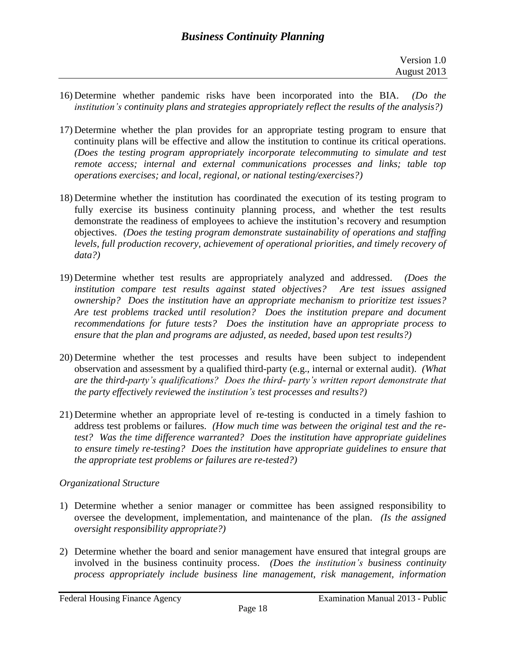- 16) Determine whether pandemic risks have been incorporated into the BIA. *(Do the institution's continuity plans and strategies appropriately reflect the results of the analysis?)*
- 17) Determine whether the plan provides for an appropriate testing program to ensure that continuity plans will be effective and allow the institution to continue its critical operations. *(Does the testing program appropriately incorporate telecommuting to simulate and test remote access; internal and external communications processes and links; table top operations exercises; and local, regional, or national testing/exercises?)*
- 18) Determine whether the institution has coordinated the execution of its testing program to fully exercise its business continuity planning process, and whether the test results demonstrate the readiness of employees to achieve the institution's recovery and resumption objectives. *(Does the testing program demonstrate sustainability of operations and staffing levels, full production recovery, achievement of operational priorities, and timely recovery of data?)*
- 19) Determine whether test results are appropriately analyzed and addressed. *(Does the institution compare test results against stated objectives? Are test issues assigned ownership? Does the institution have an appropriate mechanism to prioritize test issues? Are test problems tracked until resolution? Does the institution prepare and document recommendations for future tests? Does the institution have an appropriate process to ensure that the plan and programs are adjusted, as needed, based upon test results?)*
- 20) Determine whether the test processes and results have been subject to independent observation and assessment by a qualified third-party (e.g., internal or external audit). *(What are the third-party's qualifications? Does the third- party's written report demonstrate that the party effectively reviewed the institution's test processes and results?)*
- 21) Determine whether an appropriate level of re-testing is conducted in a timely fashion to address test problems or failures. *(How much time was between the original test and the retest? Was the time difference warranted? Does the institution have appropriate guidelines to ensure timely re-testing? Does the institution have appropriate guidelines to ensure that the appropriate test problems or failures are re-tested?)*

## *Organizational Structure*

- 1) Determine whether a senior manager or committee has been assigned responsibility to oversee the development, implementation, and maintenance of the plan. *(Is the assigned oversight responsibility appropriate?)*
- 2) Determine whether the board and senior management have ensured that integral groups are involved in the business continuity process. *(Does the institution's business continuity process appropriately include business line management, risk management, information*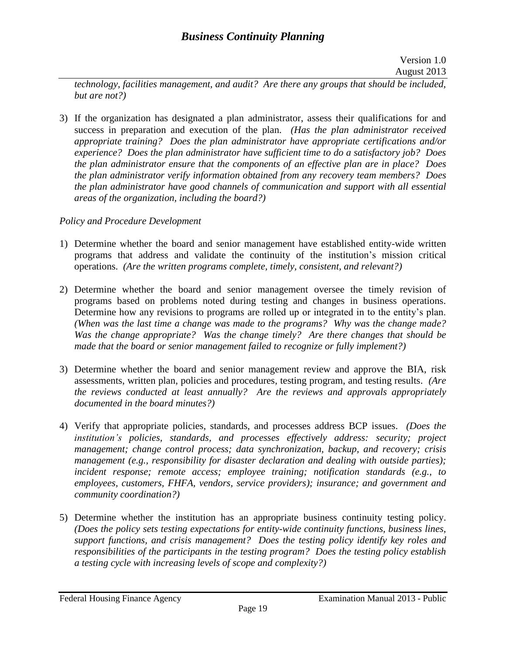*technology, facilities management, and audit? Are there any groups that should be included, but are not?)*

3) If the organization has designated a plan administrator, assess their qualifications for and success in preparation and execution of the plan. *(Has the plan administrator received appropriate training? Does the plan administrator have appropriate certifications and/or experience? Does the plan administrator have sufficient time to do a satisfactory job? Does the plan administrator ensure that the components of an effective plan are in place? Does the plan administrator verify information obtained from any recovery team members? Does the plan administrator have good channels of communication and support with all essential areas of the organization, including the board?)*

## *Policy and Procedure Development*

- 1) Determine whether the board and senior management have established entity-wide written programs that address and validate the continuity of the institution's mission critical operations. *(Are the written programs complete, timely, consistent, and relevant?)*
- 2) Determine whether the board and senior management oversee the timely revision of programs based on problems noted during testing and changes in business operations. Determine how any revisions to programs are rolled up or integrated in to the entity's plan. *(When was the last time a change was made to the programs? Why was the change made? Was the change appropriate? Was the change timely? Are there changes that should be made that the board or senior management failed to recognize or fully implement?)*
- 3) Determine whether the board and senior management review and approve the BIA, risk assessments, written plan, policies and procedures, testing program, and testing results. *(Are the reviews conducted at least annually? Are the reviews and approvals appropriately documented in the board minutes?)*
- 4) Verify that appropriate policies, standards, and processes address BCP issues. *(Does the institution's policies, standards, and processes effectively address: security; project management; change control process; data synchronization, backup, and recovery; crisis management (e.g., responsibility for disaster declaration and dealing with outside parties); incident response; remote access; employee training; notification standards (e.g., to employees, customers, FHFA, vendors, service providers); insurance; and government and community coordination?)*
- 5) Determine whether the institution has an appropriate business continuity testing policy. *(Does the policy sets testing expectations for entity-wide continuity functions, business lines, support functions, and crisis management? Does the testing policy identify key roles and responsibilities of the participants in the testing program? Does the testing policy establish a testing cycle with increasing levels of scope and complexity?)*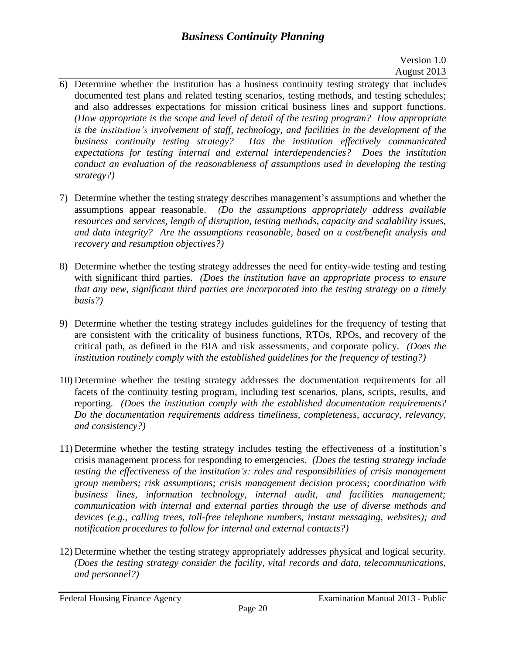# *Business Continuity Planning*

### Version 1.0 August 2013

- 6) Determine whether the institution has a business continuity testing strategy that includes documented test plans and related testing scenarios, testing methods, and testing schedules; and also addresses expectations for mission critical business lines and support functions. *(How appropriate is the scope and level of detail of the testing program? How appropriate is the institution's involvement of staff, technology, and facilities in the development of the business continuity testing strategy? Has the institution effectively communicated expectations for testing internal and external interdependencies? Does the institution conduct an evaluation of the reasonableness of assumptions used in developing the testing strategy?)*
- 7) Determine whether the testing strategy describes management's assumptions and whether the assumptions appear reasonable. *(Do the assumptions appropriately address available resources and services, length of disruption, testing methods, capacity and scalability issues, and data integrity? Are the assumptions reasonable, based on a cost/benefit analysis and recovery and resumption objectives?)*
- 8) Determine whether the testing strategy addresses the need for entity-wide testing and testing with significant third parties. *(Does the institution have an appropriate process to ensure that any new, significant third parties are incorporated into the testing strategy on a timely basis?)*
- 9) Determine whether the testing strategy includes guidelines for the frequency of testing that are consistent with the criticality of business functions, RTOs, RPOs, and recovery of the critical path, as defined in the BIA and risk assessments, and corporate policy. *(Does the institution routinely comply with the established guidelines for the frequency of testing?)*
- 10) Determine whether the testing strategy addresses the documentation requirements for all facets of the continuity testing program, including test scenarios, plans, scripts, results, and reporting. *(Does the institution comply with the established documentation requirements? Do the documentation requirements address timeliness, completeness, accuracy, relevancy, and consistency?)*
- 11) Determine whether the testing strategy includes testing the effectiveness of a institution's crisis management process for responding to emergencies. *(Does the testing strategy include testing the effectiveness of the institution's: roles and responsibilities of crisis management group members; risk assumptions; crisis management decision process; coordination with business lines, information technology, internal audit, and facilities management; communication with internal and external parties through the use of diverse methods and devices (e.g., calling trees, toll-free telephone numbers, instant messaging, websites); and notification procedures to follow for internal and external contacts?)*
- 12) Determine whether the testing strategy appropriately addresses physical and logical security. *(Does the testing strategy consider the facility, vital records and data, telecommunications, and personnel?)*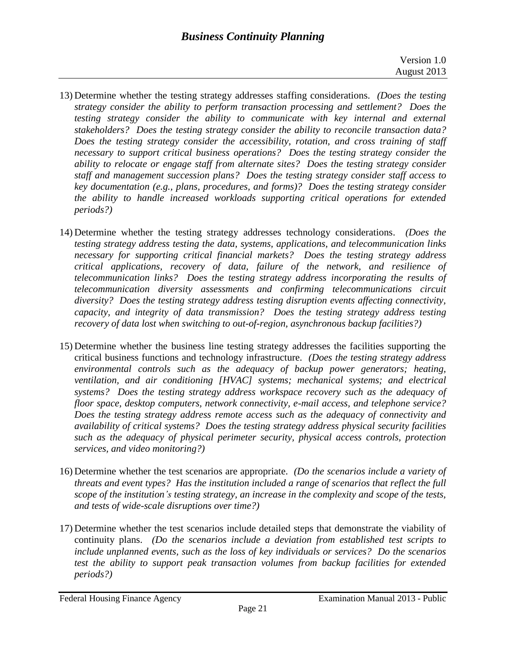- 13) Determine whether the testing strategy addresses staffing considerations. *(Does the testing strategy consider the ability to perform transaction processing and settlement? Does the testing strategy consider the ability to communicate with key internal and external stakeholders? Does the testing strategy consider the ability to reconcile transaction data? Does the testing strategy consider the accessibility, rotation, and cross training of staff necessary to support critical business operations? Does the testing strategy consider the ability to relocate or engage staff from alternate sites? Does the testing strategy consider staff and management succession plans? Does the testing strategy consider staff access to key documentation (e.g., plans, procedures, and forms)? Does the testing strategy consider the ability to handle increased workloads supporting critical operations for extended periods?)*
- 14) Determine whether the testing strategy addresses technology considerations. *(Does the testing strategy address testing the data, systems, applications, and telecommunication links necessary for supporting critical financial markets? Does the testing strategy address critical applications, recovery of data, failure of the network, and resilience of telecommunication links? Does the testing strategy address incorporating the results of telecommunication diversity assessments and confirming telecommunications circuit diversity? Does the testing strategy address testing disruption events affecting connectivity, capacity, and integrity of data transmission? Does the testing strategy address testing recovery of data lost when switching to out-of-region, asynchronous backup facilities?)*
- 15) Determine whether the business line testing strategy addresses the facilities supporting the critical business functions and technology infrastructure. *(Does the testing strategy address environmental controls such as the adequacy of backup power generators; heating, ventilation, and air conditioning [HVAC] systems; mechanical systems; and electrical systems? Does the testing strategy address workspace recovery such as the adequacy of floor space, desktop computers, network connectivity, e-mail access, and telephone service? Does the testing strategy address remote access such as the adequacy of connectivity and availability of critical systems? Does the testing strategy address physical security facilities such as the adequacy of physical perimeter security, physical access controls, protection services, and video monitoring?)*
- 16) Determine whether the test scenarios are appropriate. *(Do the scenarios include a variety of threats and event types? Has the institution included a range of scenarios that reflect the full scope of the institution's testing strategy, an increase in the complexity and scope of the tests, and tests of wide-scale disruptions over time?)*
- 17) Determine whether the test scenarios include detailed steps that demonstrate the viability of continuity plans. *(Do the scenarios include a deviation from established test scripts to include unplanned events, such as the loss of key individuals or services? Do the scenarios test the ability to support peak transaction volumes from backup facilities for extended periods?)*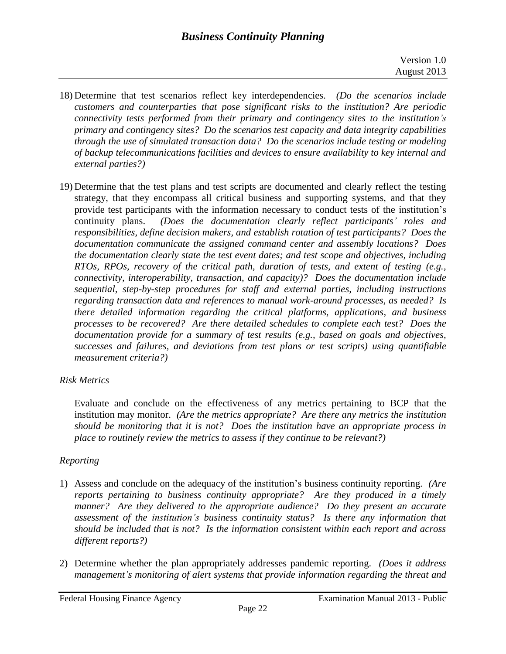- 18) Determine that test scenarios reflect key interdependencies. *(Do the scenarios include customers and counterparties that pose significant risks to the institution? Are periodic connectivity tests performed from their primary and contingency sites to the institution's primary and contingency sites? Do the scenarios test capacity and data integrity capabilities through the use of simulated transaction data? Do the scenarios include testing or modeling of backup telecommunications facilities and devices to ensure availability to key internal and external parties?)*
- 19) Determine that the test plans and test scripts are documented and clearly reflect the testing strategy, that they encompass all critical business and supporting systems, and that they provide test participants with the information necessary to conduct tests of the institution's continuity plans. *(Does the documentation clearly reflect participants' roles and responsibilities, define decision makers, and establish rotation of test participants? Does the documentation communicate the assigned command center and assembly locations? Does the documentation clearly state the test event dates; and test scope and objectives, including RTOs, RPOs, recovery of the critical path, duration of tests, and extent of testing (e.g., connectivity, interoperability, transaction, and capacity)? Does the documentation include sequential, step-by-step procedures for staff and external parties, including instructions regarding transaction data and references to manual work-around processes, as needed? Is there detailed information regarding the critical platforms, applications, and business processes to be recovered? Are there detailed schedules to complete each test? Does the documentation provide for a summary of test results (e.g., based on goals and objectives, successes and failures, and deviations from test plans or test scripts) using quantifiable measurement criteria?)*

# *Risk Metrics*

Evaluate and conclude on the effectiveness of any metrics pertaining to BCP that the institution may monitor. *(Are the metrics appropriate? Are there any metrics the institution should be monitoring that it is not? Does the institution have an appropriate process in place to routinely review the metrics to assess if they continue to be relevant?)*

# *Reporting*

- 1) Assess and conclude on the adequacy of the institution's business continuity reporting. *(Are reports pertaining to business continuity appropriate? Are they produced in a timely manner? Are they delivered to the appropriate audience? Do they present an accurate assessment of the institution's business continuity status? Is there any information that should be included that is not? Is the information consistent within each report and across different reports?)*
- 2) Determine whether the plan appropriately addresses pandemic reporting. *(Does it address management's monitoring of alert systems that provide information regarding the threat and*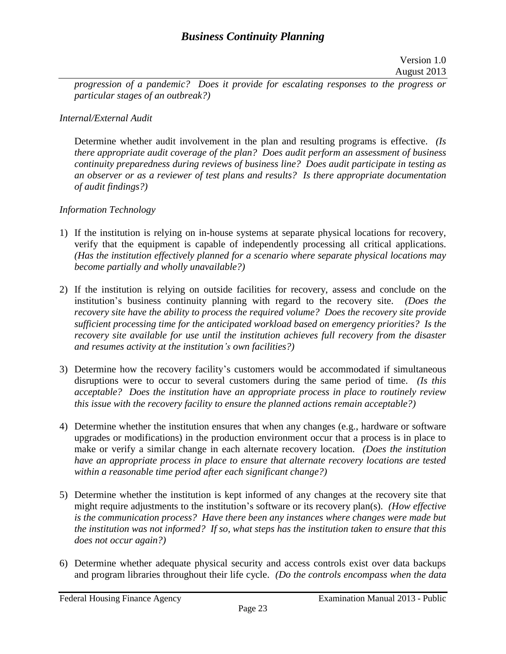*progression of a pandemic? Does it provide for escalating responses to the progress or particular stages of an outbreak?)*

## *Internal/External Audit*

Determine whether audit involvement in the plan and resulting programs is effective. *(Is there appropriate audit coverage of the plan? Does audit perform an assessment of business continuity preparedness during reviews of business line? Does audit participate in testing as an observer or as a reviewer of test plans and results? Is there appropriate documentation of audit findings?)* 

## *Information Technology*

- 1) If the institution is relying on in-house systems at separate physical locations for recovery, verify that the equipment is capable of independently processing all critical applications. *(Has the institution effectively planned for a scenario where separate physical locations may become partially and wholly unavailable?)*
- 2) If the institution is relying on outside facilities for recovery, assess and conclude on the institution's business continuity planning with regard to the recovery site. *(Does the recovery site have the ability to process the required volume? Does the recovery site provide sufficient processing time for the anticipated workload based on emergency priorities? Is the recovery site available for use until the institution achieves full recovery from the disaster and resumes activity at the institution's own facilities?)*
- 3) Determine how the recovery facility's customers would be accommodated if simultaneous disruptions were to occur to several customers during the same period of time. *(Is this acceptable? Does the institution have an appropriate process in place to routinely review this issue with the recovery facility to ensure the planned actions remain acceptable?)*
- 4) Determine whether the institution ensures that when any changes (e.g., hardware or software upgrades or modifications) in the production environment occur that a process is in place to make or verify a similar change in each alternate recovery location. *(Does the institution have an appropriate process in place to ensure that alternate recovery locations are tested within a reasonable time period after each significant change?)*
- 5) Determine whether the institution is kept informed of any changes at the recovery site that might require adjustments to the institution's software or its recovery plan(s). *(How effective is the communication process? Have there been any instances where changes were made but the institution was not informed? If so, what steps has the institution taken to ensure that this does not occur again?)*
- 6) Determine whether adequate physical security and access controls exist over data backups and program libraries throughout their life cycle. *(Do the controls encompass when the data*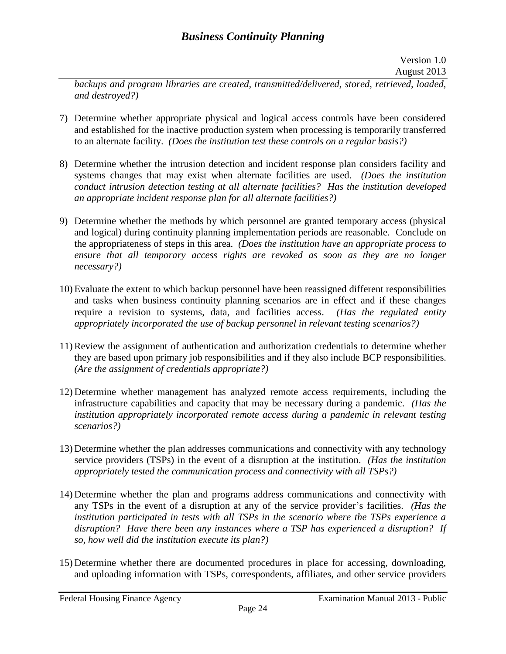*backups and program libraries are created, transmitted/delivered, stored, retrieved, loaded, and destroyed?)*

- 7) Determine whether appropriate physical and logical access controls have been considered and established for the inactive production system when processing is temporarily transferred to an alternate facility. *(Does the institution test these controls on a regular basis?)*
- 8) Determine whether the intrusion detection and incident response plan considers facility and systems changes that may exist when alternate facilities are used. *(Does the institution conduct intrusion detection testing at all alternate facilities? Has the institution developed an appropriate incident response plan for all alternate facilities?)*
- 9) Determine whether the methods by which personnel are granted temporary access (physical and logical) during continuity planning implementation periods are reasonable. Conclude on the appropriateness of steps in this area. *(Does the institution have an appropriate process to ensure that all temporary access rights are revoked as soon as they are no longer necessary?)*
- 10) Evaluate the extent to which backup personnel have been reassigned different responsibilities and tasks when business continuity planning scenarios are in effect and if these changes require a revision to systems, data, and facilities access. *(Has the regulated entity appropriately incorporated the use of backup personnel in relevant testing scenarios?)*
- 11) Review the assignment of authentication and authorization credentials to determine whether they are based upon primary job responsibilities and if they also include BCP responsibilities. *(Are the assignment of credentials appropriate?)*
- 12) Determine whether management has analyzed remote access requirements, including the infrastructure capabilities and capacity that may be necessary during a pandemic. *(Has the institution appropriately incorporated remote access during a pandemic in relevant testing scenarios?)*
- 13) Determine whether the plan addresses communications and connectivity with any technology service providers (TSPs) in the event of a disruption at the institution. *(Has the institution appropriately tested the communication process and connectivity with all TSPs?)*
- 14) Determine whether the plan and programs address communications and connectivity with any TSPs in the event of a disruption at any of the service provider's facilities. *(Has the institution participated in tests with all TSPs in the scenario where the TSPs experience a disruption? Have there been any instances where a TSP has experienced a disruption? If so, how well did the institution execute its plan?)*
- 15) Determine whether there are documented procedures in place for accessing, downloading, and uploading information with TSPs, correspondents, affiliates, and other service providers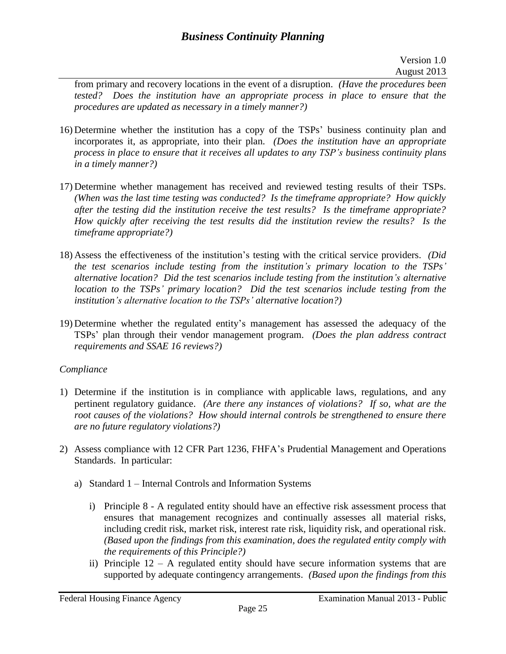from primary and recovery locations in the event of a disruption. *(Have the procedures been tested? Does the institution have an appropriate process in place to ensure that the procedures are updated as necessary in a timely manner?)*

- 16) Determine whether the institution has a copy of the TSPs' business continuity plan and incorporates it, as appropriate, into their plan. *(Does the institution have an appropriate process in place to ensure that it receives all updates to any TSP's business continuity plans in a timely manner?)*
- 17) Determine whether management has received and reviewed testing results of their TSPs. *(When was the last time testing was conducted? Is the timeframe appropriate? How quickly after the testing did the institution receive the test results? Is the timeframe appropriate? How quickly after receiving the test results did the institution review the results? Is the timeframe appropriate?)*
- 18) Assess the effectiveness of the institution's testing with the critical service providers. *(Did the test scenarios include testing from the institution's primary location to the TSPs' alternative location? Did the test scenarios include testing from the institution's alternative location to the TSPs' primary location?* Did the test scenarios include testing from the *institution's alternative location to the TSPs' alternative location?)*
- 19) Determine whether the regulated entity's management has assessed the adequacy of the TSPs' plan through their vendor management program. *(Does the plan address contract requirements and SSAE 16 reviews?)*

## *Compliance*

- 1) Determine if the institution is in compliance with applicable laws, regulations, and any pertinent regulatory guidance. *(Are there any instances of violations? If so, what are the root causes of the violations? How should internal controls be strengthened to ensure there are no future regulatory violations?)*
- 2) Assess compliance with 12 CFR Part 1236, FHFA's Prudential Management and Operations Standards. In particular:
	- a) Standard 1 Internal Controls and Information Systems
		- i) Principle 8 A regulated entity should have an effective risk assessment process that ensures that management recognizes and continually assesses all material risks, including credit risk, market risk, interest rate risk, liquidity risk, and operational risk. *(Based upon the findings from this examination, does the regulated entity comply with the requirements of this Principle?)*
		- ii) Principle 12 A regulated entity should have secure information systems that are supported by adequate contingency arrangements. *(Based upon the findings from this*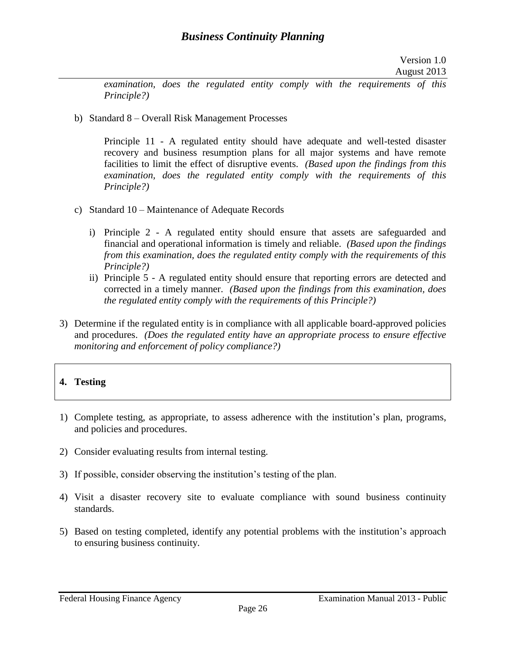*examination, does the regulated entity comply with the requirements of this Principle?)*

b) Standard 8 – Overall Risk Management Processes

Principle 11 - A regulated entity should have adequate and well-tested disaster recovery and business resumption plans for all major systems and have remote facilities to limit the effect of disruptive events. *(Based upon the findings from this examination, does the regulated entity comply with the requirements of this Principle?)*

- c) Standard 10 Maintenance of Adequate Records
	- i) Principle 2 A regulated entity should ensure that assets are safeguarded and financial and operational information is timely and reliable. *(Based upon the findings from this examination, does the regulated entity comply with the requirements of this Principle?)*
	- ii) Principle 5 A regulated entity should ensure that reporting errors are detected and corrected in a timely manner. *(Based upon the findings from this examination, does the regulated entity comply with the requirements of this Principle?)*
- 3) Determine if the regulated entity is in compliance with all applicable board-approved policies and procedures. *(Does the regulated entity have an appropriate process to ensure effective monitoring and enforcement of policy compliance?)*
- **4. Testing**
- 1) Complete testing, as appropriate, to assess adherence with the institution's plan, programs, and policies and procedures.
- 2) Consider evaluating results from internal testing.
- 3) If possible, consider observing the institution's testing of the plan.
- 4) Visit a disaster recovery site to evaluate compliance with sound business continuity standards.
- 5) Based on testing completed, identify any potential problems with the institution's approach to ensuring business continuity.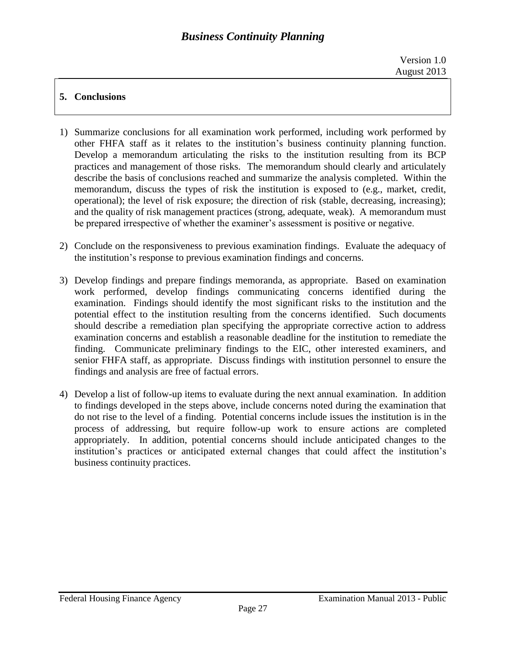# **5. Conclusions**

- 1) Summarize conclusions for all examination work performed, including work performed by other FHFA staff as it relates to the institution's business continuity planning function. Develop a memorandum articulating the risks to the institution resulting from its BCP practices and management of those risks. The memorandum should clearly and articulately describe the basis of conclusions reached and summarize the analysis completed. Within the memorandum, discuss the types of risk the institution is exposed to (e.g., market, credit, operational); the level of risk exposure; the direction of risk (stable, decreasing, increasing); and the quality of risk management practices (strong, adequate, weak). A memorandum must be prepared irrespective of whether the examiner's assessment is positive or negative.
- 2) Conclude on the responsiveness to previous examination findings. Evaluate the adequacy of the institution's response to previous examination findings and concerns.
- 3) Develop findings and prepare findings memoranda, as appropriate. Based on examination work performed, develop findings communicating concerns identified during the examination. Findings should identify the most significant risks to the institution and the potential effect to the institution resulting from the concerns identified. Such documents should describe a remediation plan specifying the appropriate corrective action to address examination concerns and establish a reasonable deadline for the institution to remediate the finding. Communicate preliminary findings to the EIC, other interested examiners, and senior FHFA staff, as appropriate. Discuss findings with institution personnel to ensure the findings and analysis are free of factual errors.
- 4) Develop a list of follow-up items to evaluate during the next annual examination. In addition to findings developed in the steps above, include concerns noted during the examination that do not rise to the level of a finding. Potential concerns include issues the institution is in the process of addressing, but require follow-up work to ensure actions are completed appropriately. In addition, potential concerns should include anticipated changes to the institution's practices or anticipated external changes that could affect the institution's business continuity practices.